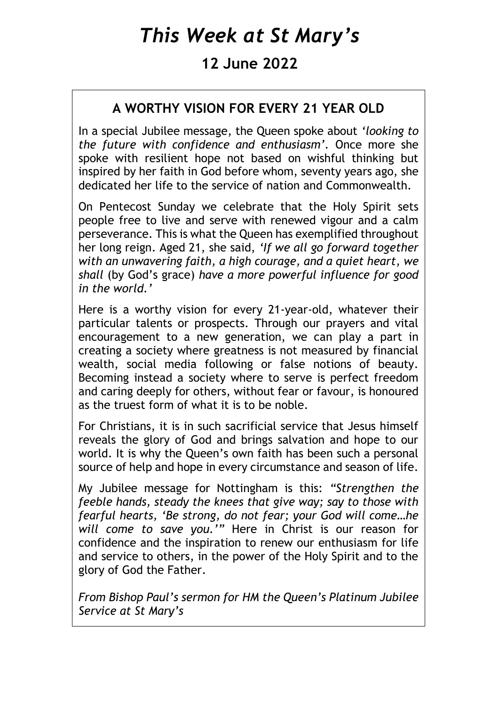# *This Week at St Mary's*

# **12 June 2022**

## **A WORTHY VISION FOR EVERY 21 YEAR OLD**

In a special Jubilee message, the Queen spoke about *'looking to the future with confidence and enthusiasm'.* Once more she spoke with resilient hope not based on wishful thinking but inspired by her faith in God before whom, seventy years ago, she dedicated her life to the service of nation and Commonwealth.

On Pentecost Sunday we celebrate that the Holy Spirit sets people free to live and serve with renewed vigour and a calm perseverance. This is what the Queen has exemplified throughout her long reign. Aged 21, she said, *'If we all go forward together with an unwavering faith, a high courage, and a quiet heart, we shall* (by God's grace) *have a more powerful influence for good in the world.'*

Here is a worthy vision for every 21-year-old, whatever their particular talents or prospects. Through our prayers and vital encouragement to a new generation, we can play a part in creating a society where greatness is not measured by financial wealth, social media following or false notions of beauty. Becoming instead a society where to serve is perfect freedom and caring deeply for others, without fear or favour, is honoured as the truest form of what it is to be noble.

For Christians, it is in such sacrificial service that Jesus himself reveals the glory of God and brings salvation and hope to our world. It is why the Queen's own faith has been such a personal source of help and hope in every circumstance and season of life.

My Jubilee message for Nottingham is this: *"Strengthen the feeble hands, steady the knees that give way; say to those with fearful hearts, 'Be strong, do not fear; your God will come…he will come to save you.'"* Here in Christ is our reason for confidence and the inspiration to renew our enthusiasm for life and service to others, in the power of the Holy Spirit and to the glory of God the Father.

*From Bishop Paul's sermon for HM the Queen's Platinum Jubilee Service at St Mary's*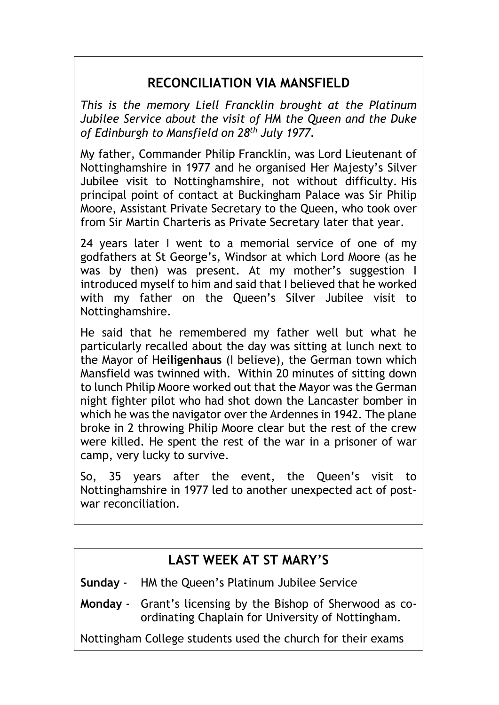## **RECONCILIATION VIA MANSFIELD**

*This is the memory Liell Francklin brought at the Platinum Jubilee Service about the visit of HM the Queen and the Duke of Edinburgh to Mansfield on 28th July 1977.*

My father, Commander Philip Francklin, was Lord Lieutenant of Nottinghamshire in 1977 and he organised Her Majesty's Silver Jubilee visit to Nottinghamshire, not without difficulty. His principal point of contact at Buckingham Palace was Sir Philip Moore, Assistant Private Secretary to the Queen, who took over from Sir Martin Charteris as Private Secretary later that year.

24 years later I went to a memorial service of one of my godfathers at St George's, Windsor at which Lord Moore (as he was by then) was present. At my mother's suggestion I introduced myself to him and said that I believed that he worked with my father on the Queen's Silver Jubilee visit to Nottinghamshire.

He said that he remembered my father well but what he particularly recalled about the day was sitting at lunch next to the Mayor of H**eiligenhaus** (I believe), the German town which Mansfield was twinned with. Within 20 minutes of sitting down to lunch Philip Moore worked out that the Mayor was the German night fighter pilot who had shot down the Lancaster bomber in which he was the navigator over the Ardennes in 1942. The plane broke in 2 throwing Philip Moore clear but the rest of the crew were killed. He spent the rest of the war in a prisoner of war camp, very lucky to survive.

So, 35 years after the event, the Queen's visit to Nottinghamshire in 1977 led to another unexpected act of postwar reconciliation.

## **LAST WEEK AT ST MARY'S**

**Sunday** - HM the Queen's Platinum Jubilee Service

**Monday** - Grant's licensing by the Bishop of Sherwood as coordinating Chaplain for University of Nottingham.

Nottingham College students used the church for their exams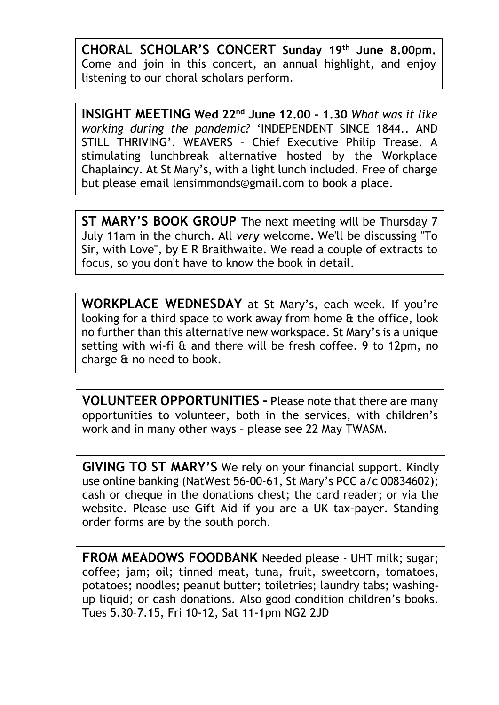**CHORAL SCHOLAR'S CONCERT Sunday 19th June 8.00pm.** Come and join in this concert, an annual highlight, and enjoy listening to our choral scholars perform.

**INSIGHT MEETING Wed 22nd June 12.00 – 1.30** *What was it like working during the pandemic?* 'INDEPENDENT SINCE 1844.. AND STILL THRIVING'. WEAVERS – Chief Executive Philip Trease. A stimulating lunchbreak alternative hosted by the Workplace Chaplaincy. At St Mary's, with a light lunch included. Free of charge but please email [lensimmonds@gmail.com](mailto:lensimmonds@gmail.com) to book a place.

**ST MARY'S BOOK GROUP** The next meeting will be Thursday 7 July 11am in the church. All *very* welcome. We'll be discussing "To Sir, with Love", by E R Braithwaite. We read a couple of extracts to focus, so you don't have to know the book in detail.

**WORKPLACE WEDNESDAY** at St Mary's, each week. If you're looking for a third space to work away from home & the office, look no further than this alternative new workspace. St Mary's is a unique setting with wi-fi & and there will be fresh coffee. 9 to 12pm, no charge & no need to book.

**VOLUNTEER OPPORTUNITIES –** Please note that there are many opportunities to volunteer, both in the services, with children's work and in many other ways – please see 22 May TWASM.

**GIVING TO ST MARY'S** We rely on your financial support. Kindly use online banking (NatWest 56-00-61, St Mary's PCC a/c 00834602); cash or cheque in the donations chest; the card reader; or via the website. Please use Gift Aid if you are a UK tax-payer. Standing order forms are by the south porch.

**FROM MEADOWS FOODBANK** Needed please - UHT milk; sugar; coffee; jam; oil; tinned meat, tuna, fruit, sweetcorn, tomatoes, potatoes; noodles; peanut butter; toiletries; laundry tabs; washingup liquid; or cash donations. Also good condition children's books. Tues 5.30–7.15, Fri 10-12, Sat 11-1pm NG2 2JD